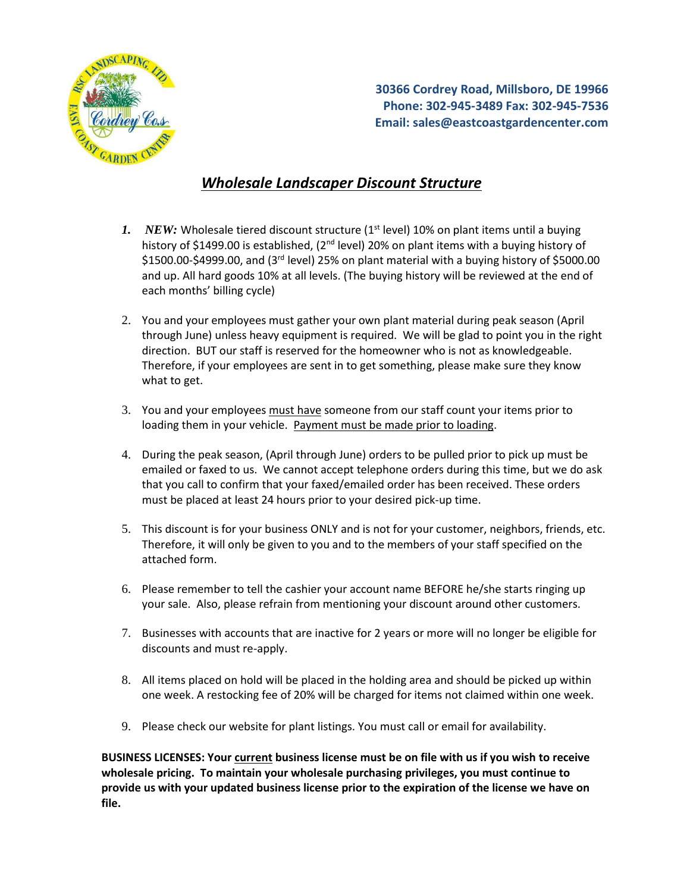

**30366 Cordrey Road, Millsboro, DE 19966 Phone: 302-945-3489 Fax: 302-945-7536 Email: sales@eastcoastgardencenter.com**

## *Wholesale Landscaper Discount Structure*

- *1. NEW:* Wholesale tiered discount structure (1<sup>st</sup> level) 10% on plant items until a buying history of \$1499.00 is established,  $(2^{nd}$  level) 20% on plant items with a buying history of \$1500.00-\$4999.00, and (3<sup>rd</sup> level) 25% on plant material with a buying history of \$5000.00 and up. All hard goods 10% at all levels. (The buying history will be reviewed at the end of each months' billing cycle)
- 2. You and your employees must gather your own plant material during peak season (April through June) unless heavy equipment is required. We will be glad to point you in the right direction. BUT our staff is reserved for the homeowner who is not as knowledgeable. Therefore, if your employees are sent in to get something, please make sure they know what to get.
- 3. You and your employees must have someone from our staff count your items prior to loading them in your vehicle. Payment must be made prior to loading.
- 4. During the peak season, (April through June) orders to be pulled prior to pick up must be emailed or faxed to us. We cannot accept telephone orders during this time, but we do ask that you call to confirm that your faxed/emailed order has been received. These orders must be placed at least 24 hours prior to your desired pick-up time.
- 5. This discount is for your business ONLY and is not for your customer, neighbors, friends, etc. Therefore, it will only be given to you and to the members of your staff specified on the attached form.
- 6. Please remember to tell the cashier your account name BEFORE he/she starts ringing up your sale. Also, please refrain from mentioning your discount around other customers.
- 7. Businesses with accounts that are inactive for 2 years or more will no longer be eligible for discounts and must re-apply.
- 8. All items placed on hold will be placed in the holding area and should be picked up within one week. A restocking fee of 20% will be charged for items not claimed within one week.
- 9. Please check our website for plant listings. You must call or email for availability.

**BUSINESS LICENSES: Your current business license must be on file with us if you wish to receive wholesale pricing. To maintain your wholesale purchasing privileges, you must continue to provide us with your updated business license prior to the expiration of the license we have on file.**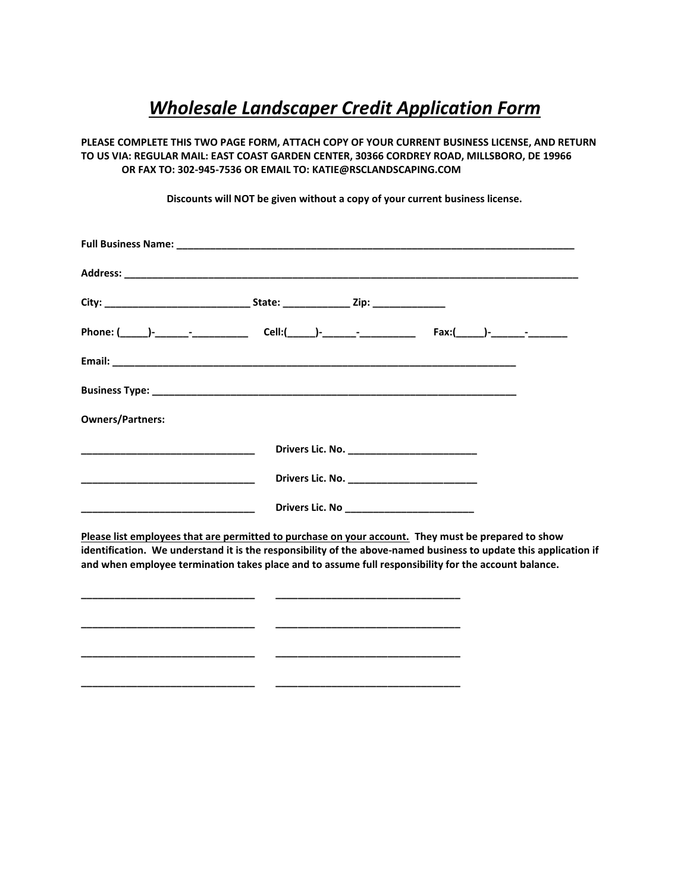## *Wholesale Landscaper Credit Application Form*

**PLEASE COMPLETE THIS TWO PAGE FORM, ATTACH COPY OF YOUR CURRENT BUSINESS LICENSE, AND RETURN TO US VIA: REGULAR MAIL: EAST COAST GARDEN CENTER, 30366 CORDREY ROAD, MILLSBORO, DE 19966 OR FAX TO: 302-945-7536 OR EMAIL TO: KATIE@RSCLANDSCAPING.COM**

**Discounts will NOT be given without a copy of your current business license.**

| <b>Owners/Partners:</b>                                                                                                                                                                                                  |  |  |  |
|--------------------------------------------------------------------------------------------------------------------------------------------------------------------------------------------------------------------------|--|--|--|
|                                                                                                                                                                                                                          |  |  |  |
|                                                                                                                                                                                                                          |  |  |  |
|                                                                                                                                                                                                                          |  |  |  |
| Please list employees that are permitted to purchase on your account. They must be prepared to show                                                                                                                      |  |  |  |
| identification. We understand it is the responsibility of the above-named business to update this application if<br>and when employee termination takes place and to assume full responsibility for the account balance. |  |  |  |
|                                                                                                                                                                                                                          |  |  |  |

**\_\_\_\_\_\_\_\_\_\_\_\_\_\_\_\_\_\_\_\_\_\_\_\_\_\_\_\_\_\_\_ \_\_\_\_\_\_\_\_\_\_\_\_\_\_\_\_\_\_\_\_\_\_\_\_\_\_\_\_\_\_\_\_\_**

**\_\_\_\_\_\_\_\_\_\_\_\_\_\_\_\_\_\_\_\_\_\_\_\_\_\_\_\_\_\_\_ \_\_\_\_\_\_\_\_\_\_\_\_\_\_\_\_\_\_\_\_\_\_\_\_\_\_\_\_\_\_\_\_\_**

**\_\_\_\_\_\_\_\_\_\_\_\_\_\_\_\_\_\_\_\_\_\_\_\_\_\_\_\_\_\_\_ \_\_\_\_\_\_\_\_\_\_\_\_\_\_\_\_\_\_\_\_\_\_\_\_\_\_\_\_\_\_\_\_\_**